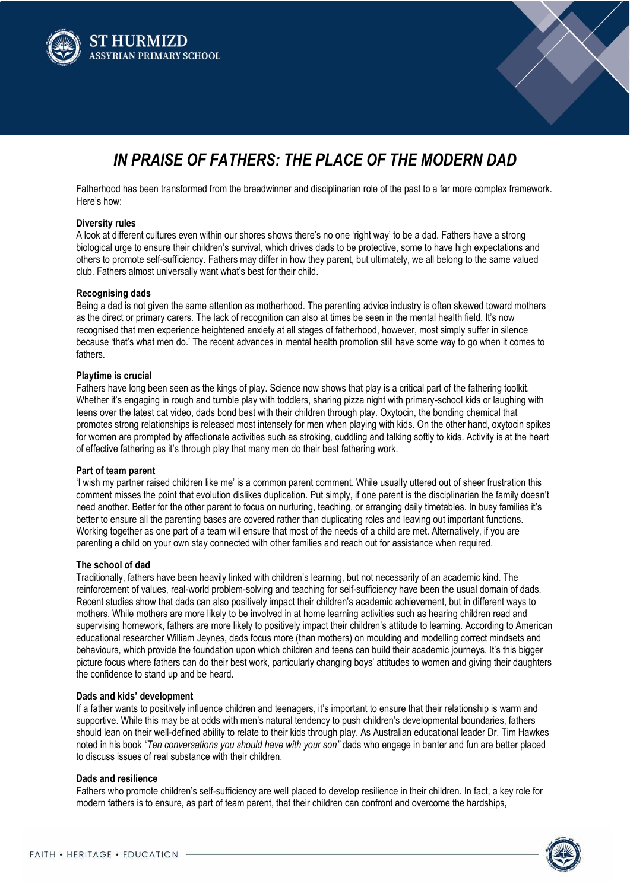



# *IN PRAISE OF FATHERS: THE PLACE OF THE MODERN DAD*

Fatherhood has been transformed from the breadwinner and disciplinarian role of the past to a far more complex framework. Here's how:

### **Diversity rules**

A look at different cultures even within our shores shows there's no one 'right way' to be a dad. Fathers have a strong biological urge to ensure their children's survival, which drives dads to be protective, some to have high expectations and others to promote self-sufficiency. Fathers may differ in how they parent, but ultimately, we all belong to the same valued club. Fathers almost universally want what's best for their child.

## **Recognising dads**

Being a dad is not given the same attention as motherhood. The parenting advice industry is often skewed toward mothers as the direct or primary carers. The lack of recognition can also at times be seen in the mental health field. It's now recognised that men experience heightened anxiety at all stages of fatherhood, however, most simply suffer in silence because 'that's what men do.' The recent advances in mental health promotion still have some way to go when it comes to fathers.

# **Playtime is crucial**

Fathers have long been seen as the kings of play. Science now shows that play is a critical part of the fathering toolkit. Whether it's engaging in rough and tumble play with toddlers, sharing pizza night with primary-school kids or laughing with teens over the latest cat video, dads bond best with their children through play. Oxytocin, the bonding chemical that promotes strong relationships is released most intensely for men when playing with kids. On the other hand, oxytocin spikes for women are prompted by affectionate activities such as stroking, cuddling and talking softly to kids. Activity is at the heart of effective fathering as it's through play that many men do their best fathering work.

# **Part of team parent**

'I wish my partner raised children like me' is a common parent comment. While usually uttered out of sheer frustration this comment misses the point that evolution dislikes duplication. Put simply, if one parent is the disciplinarian the family doesn't need another. Better for the other parent to focus on nurturing, teaching, or arranging daily timetables. In busy families it's better to ensure all the parenting bases are covered rather than duplicating roles and leaving out important functions. Working together as one part of a team will ensure that most of the needs of a child are met. Alternatively, if you are parenting a child on your own stay connected with other families and reach out for assistance when required.

## **The school of dad**

Traditionally, fathers have been heavily linked with children's learning, but not necessarily of an academic kind. The reinforcement of values, real-world problem-solving and teaching for self-sufficiency have been the usual domain of dads. Recent studies show that dads can also positively impact their children's academic achievement, but in different ways to mothers. While mothers are more likely to be involved in at home learning activities such as hearing children read and supervising homework, fathers are more likely to positively impact their children's attitude to learning. According to American educational researcher William Jeynes, dads focus more (than mothers) on moulding and modelling correct mindsets and behaviours, which provide the foundation upon which children and teens can build their academic journeys. It's this bigger picture focus where fathers can do their best work, particularly changing boys' attitudes to women and giving their daughters the confidence to stand up and be heard.

## **Dads and kids' development**

If a father wants to positively influence children and teenagers, it's important to ensure that their relationship is warm and supportive. While this may be at odds with men's natural tendency to push children's developmental boundaries, fathers should lean on their well-defined ability to relate to their kids through play. As Australian educational leader Dr. Tim Hawkes noted in his book *"Ten conversations you should have with your son"* dads who engage in banter and fun are better placed to discuss issues of real substance with their children.

### **Dads and resilience**

Fathers who promote children's self-sufficiency are well placed to develop resilience in their children. In fact, a key role for modern fathers is to ensure, as part of team parent, that their children can confront and overcome the hardships,